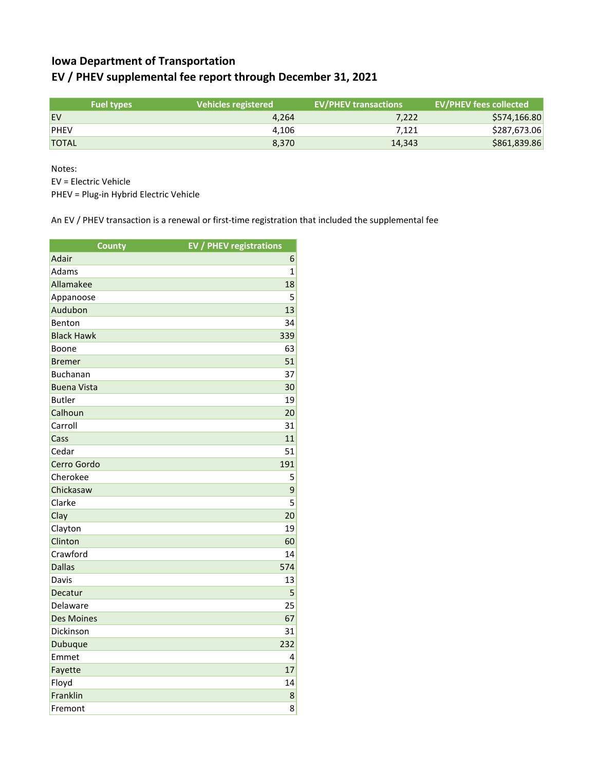## **Iowa Department of Transportation EV / PHEV supplemental fee report through December 31, 2021**

|              | <b>Fuel types</b> | Vehicles registered | <b>EV/PHEV transactions</b> | <b>EV/PHEV fees collected</b> |
|--------------|-------------------|---------------------|-----------------------------|-------------------------------|
| <b>EV</b>    |                   | 4.264               | 7,222                       | \$574,166.80                  |
| <b>PHEV</b>  |                   | 4.106               | 7.121                       | \$287,673.06                  |
| <b>TOTAL</b> |                   | 8.370               | 14.343                      | \$861,839.86                  |

Notes:

EV = Electric Vehicle

PHEV = Plug-in Hybrid Electric Vehicle

An EV / PHEV transaction is a renewal or first-time registration that included the supplemental fee

| <b>County</b>      | <b>EV / PHEV registrations</b> |
|--------------------|--------------------------------|
| Adair              | 6                              |
| Adams              | $\mathbf{1}$                   |
| Allamakee          | 18                             |
| Appanoose          | 5                              |
| Audubon            | 13                             |
| Benton             | 34                             |
| <b>Black Hawk</b>  | 339                            |
| Boone              | 63                             |
| <b>Bremer</b>      | 51                             |
| <b>Buchanan</b>    | 37                             |
| <b>Buena Vista</b> | 30                             |
| <b>Butler</b>      | 19                             |
| Calhoun            | 20                             |
| Carroll            | 31                             |
| Cass               | 11                             |
| Cedar              | 51                             |
| Cerro Gordo        | 191                            |
| Cherokee           | 5                              |
| Chickasaw          | 9                              |
| Clarke             | $\overline{5}$                 |
| Clay               | 20                             |
| Clayton            | 19                             |
| Clinton            | 60                             |
| Crawford           | 14                             |
| <b>Dallas</b>      | 574                            |
| Davis              | 13                             |
| Decatur            | 5                              |
| Delaware           | 25                             |
| <b>Des Moines</b>  | 67                             |
| Dickinson          | 31                             |
| Dubuque            | 232                            |
| Emmet              | 4                              |
| Fayette            | 17                             |
| Floyd              | 14                             |
| Franklin           | 8                              |
| Fremont            | 8                              |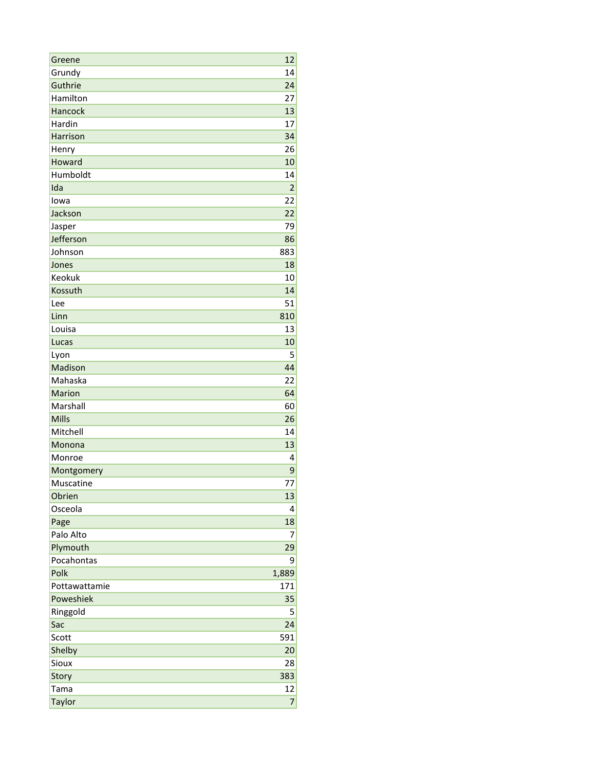| Greene        | 12             |
|---------------|----------------|
| Grundy        | 14             |
| Guthrie       | 24             |
| Hamilton      | 27             |
| Hancock       | 13             |
| Hardin        | 17             |
| Harrison      | 34             |
| Henry         | 26             |
| Howard        | 10             |
| Humboldt      | 14             |
| Ida           | $\overline{2}$ |
| lowa          | 22             |
| Jackson       | 22             |
| Jasper        | 79             |
| Jefferson     | 86             |
| Johnson       | 883            |
| Jones         | 18             |
| Keokuk        | 10             |
| Kossuth       | 14             |
| Lee           | 51             |
| Linn          | 810            |
| Louisa        | 13             |
| Lucas         | 10             |
| Lyon          | 5              |
| Madison       | 44             |
| Mahaska       | 22             |
| <b>Marion</b> | 64             |
| Marshall      | 60             |
| <b>Mills</b>  | 26             |
| Mitchell      | 14             |
| Monona        | 13             |
| Monroe        | 4              |
| Montgomery    | 9              |
| Muscatine     | 77             |
| Obrien        | 13             |
| Osceola       | 4              |
| Page          | 18             |
| Palo Alto     | 7              |
| Plymouth      | 29             |
| Pocahontas    | 9              |
| Polk          | 1,889          |
| Pottawattamie | 171            |
| Poweshiek     | 35             |
| Ringgold      | 5              |
| Sac           | 24             |
| Scott         | 591            |
| Shelby        | 20             |
| Sioux         | 28             |
| Story         | 383            |
| Tama          | 12             |
| <b>Taylor</b> | $\overline{7}$ |